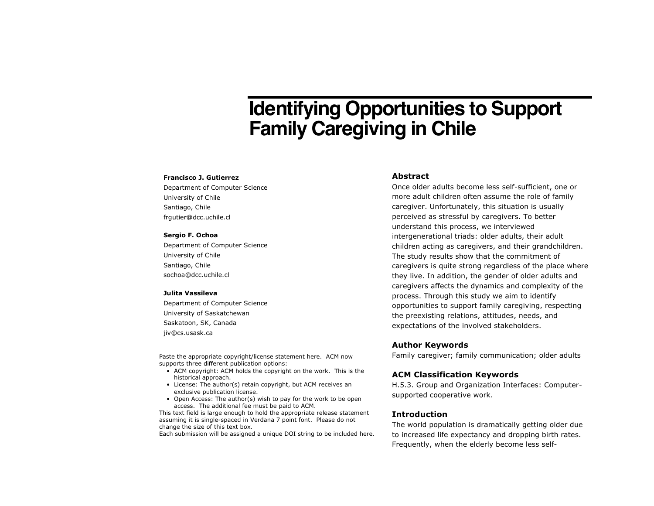# **Identifying Opportunities to Support Family Caregiving in Chile**

### **Francisco J. Gutierrez**

Department of Computer Science University of Chile Santiago, Chile frgutier@dcc.uchile.cl

#### **Sergio F. Ochoa**

Department of Computer Science University of Chile Santiago, Chile sochoa@dcc.uchile.cl

### **Julita Vassileva**

Department of Computer Science University of Saskatchewan Saskatoon, SK, Canada jiv@cs.usask.ca

Paste the appropriate copyright/license statement here. ACM now supports three different publication options:

- ACM copyright: ACM holds the copyright on the work. This is the historical approach.
- License: The author(s) retain copyright, but ACM receives an exclusive publication license.
- Open Access: The author(s) wish to pay for the work to be open access. The additional fee must be paid to ACM.

This text field is large enough to hold the appropriate release statement assuming it is single-spaced in Verdana 7 point font. Please do not change the size of this text box.

Each submission will be assigned a unique DOI string to be included here.

# **Abstract**

Once older adults become less self-sufficient, one or more adult children often assume the role of family caregiver. Unfortunately, this situation is usually perceived as stressful by caregivers. To better understand this process, we interviewed intergenerational triads: older adults, their adult children acting as caregivers, and their grandchildren. The study results show that the commitment of caregivers is quite strong regardless of the place where they live. In addition, the gender of older adults and caregivers affects the dynamics and complexity of the process. Through this study we aim to identify opportunities to support family caregiving, respecting the preexisting relations, attitudes, needs, and expectations of the involved stakeholders.

# **Author Keywords**

Family caregiver; family communication; older adults

## **ACM Classification Keywords**

H.5.3. Group and Organization Interfaces: Computersupported cooperative work.

## **Introduction**

The world population is dramatically getting older due to increased life expectancy and dropping birth rates. Frequently, when the elderly become less self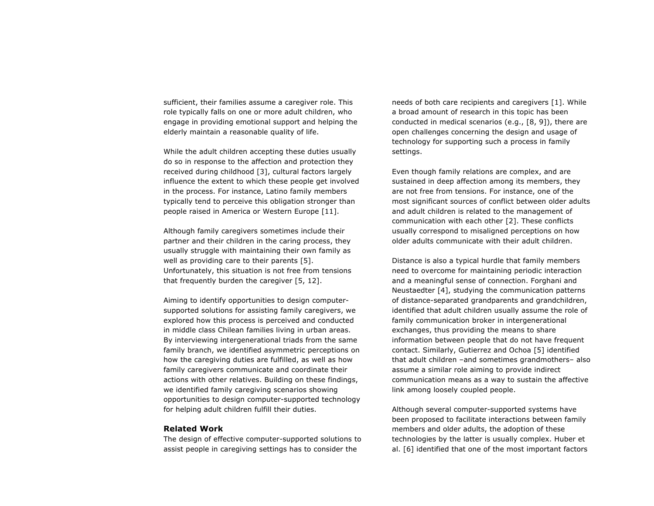sufficient, their families assume a caregiver role. This role typically falls on one or more adult children, who engage in providing emotional support and helping the elderly maintain a reasonable quality of life.

While the adult children accepting these duties usually do so in response to the affection and protection they received during childhood [3], cultural factors largely influence the extent to which these people get involved in the process. For instance, Latino family members typically tend to perceive this obligation stronger than people raised in America or Western Europe [11].

Although family caregivers sometimes include their partner and their children in the caring process, they usually struggle with maintaining their own family as well as providing care to their parents [5]. Unfortunately, this situation is not free from tensions that frequently burden the caregiver [5, 12].

Aiming to identify opportunities to design computersupported solutions for assisting family caregivers, we explored how this process is perceived and conducted in middle class Chilean families living in urban areas. By interviewing intergenerational triads from the same family branch, we identified asymmetric perceptions on how the caregiving duties are fulfilled, as well as how family caregivers communicate and coordinate their actions with other relatives. Building on these findings, we identified family caregiving scenarios showing opportunities to design computer-supported technology for helping adult children fulfill their duties.

## **Related Work**

The design of effective computer-supported solutions to assist people in caregiving settings has to consider the

needs of both care recipients and caregivers [1]. While a broad amount of research in this topic has been conducted in medical scenarios (e.g., [8, 9]), there are open challenges concerning the design and usage of technology for supporting such a process in family settings.

Even though family relations are complex, and are sustained in deep affection among its members, they are not free from tensions. For instance, one of the most significant sources of conflict between older adults and adult children is related to the management of communication with each other [2]. These conflicts usually correspond to misaligned perceptions on how older adults communicate with their adult children.

Distance is also a typical hurdle that family members need to overcome for maintaining periodic interaction and a meaningful sense of connection. Forghani and Neustaedter [4], studying the communication patterns of distance-separated grandparents and grandchildren, identified that adult children usually assume the role of family communication broker in intergenerational exchanges, thus providing the means to share information between people that do not have frequent contact. Similarly, Gutierrez and Ochoa [5] identified that adult children –and sometimes grandmothers– also assume a similar role aiming to provide indirect communication means as a way to sustain the affective link among loosely coupled people.

Although several computer-supported systems have been proposed to facilitate interactions between family members and older adults, the adoption of these technologies by the latter is usually complex. Huber et al. [6] identified that one of the most important factors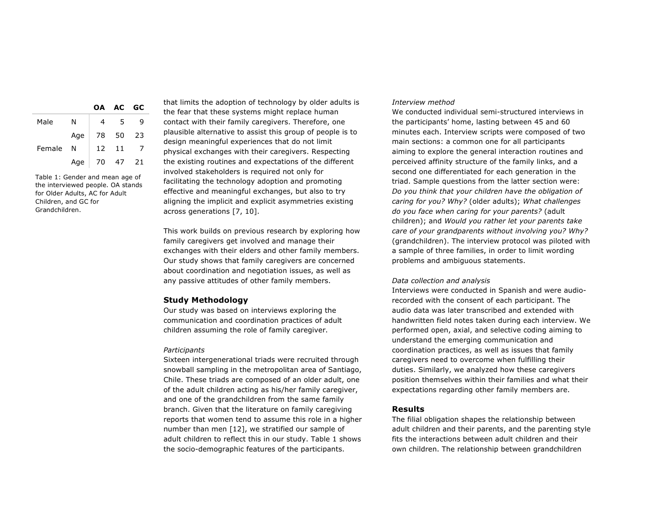|        |     | OA | <b>AC</b> | GC |
|--------|-----|----|-----------|----|
| Male   | N   | 4  | 5         | q  |
|        | Age | 78 | 50        | 23 |
| Female | N   | 12 | 11        | 7  |
|        | Age | 70 | 47        | 21 |

Table 1: Gender and mean age of the interviewed people. OA stands for Older Adults, AC for Adult Children, and GC for Grandchildren.

that limits the adoption of technology by older adults is the fear that these systems might replace human contact with their family caregivers. Therefore, one plausible alternative to assist this group of people is to design meaningful experiences that do not limit physical exchanges with their caregivers. Respecting the existing routines and expectations of the different involved stakeholders is required not only for facilitating the technology adoption and promoting effective and meaningful exchanges, but also to try aligning the implicit and explicit asymmetries existing across generations [7, 10].

This work builds on previous research by exploring how family caregivers get involved and manage their exchanges with their elders and other family members. Our study shows that family caregivers are concerned about coordination and negotiation issues, as well as any passive attitudes of other family members.

## **Study Methodology**

Our study was based on interviews exploring the communication and coordination practices of adult children assuming the role of family caregiver.

## *Participants*

Sixteen intergenerational triads were recruited through snowball sampling in the metropolitan area of Santiago, Chile. These triads are composed of an older adult, one of the adult children acting as his/her family caregiver, and one of the grandchildren from the same family branch. Given that the literature on family caregiving reports that women tend to assume this role in a higher number than men [12], we stratified our sample of adult children to reflect this in our study. Table 1 shows the socio-demographic features of the participants.

## *Interview method*

We conducted individual semi-structured interviews in the participants' home, lasting between 45 and 60 minutes each. Interview scripts were composed of two main sections: a common one for all participants aiming to explore the general interaction routines and perceived affinity structure of the family links, and a second one differentiated for each generation in the triad. Sample questions from the latter section were: *Do you think that your children have the obligation of caring for you? Why?* (older adults); *What challenges do you face when caring for your parents?* (adult children); and *Would you rather let your parents take care of your grandparents without involving you? Why?* (grandchildren). The interview protocol was piloted with a sample of three families, in order to limit wording problems and ambiguous statements.

## *Data collection and analysis*

Interviews were conducted in Spanish and were audiorecorded with the consent of each participant. The audio data was later transcribed and extended with handwritten field notes taken during each interview. We performed open, axial, and selective coding aiming to understand the emerging communication and coordination practices, as well as issues that family caregivers need to overcome when fulfilling their duties. Similarly, we analyzed how these caregivers position themselves within their families and what their expectations regarding other family members are.

## **Results**

The filial obligation shapes the relationship between adult children and their parents, and the parenting style fits the interactions between adult children and their own children. The relationship between grandchildren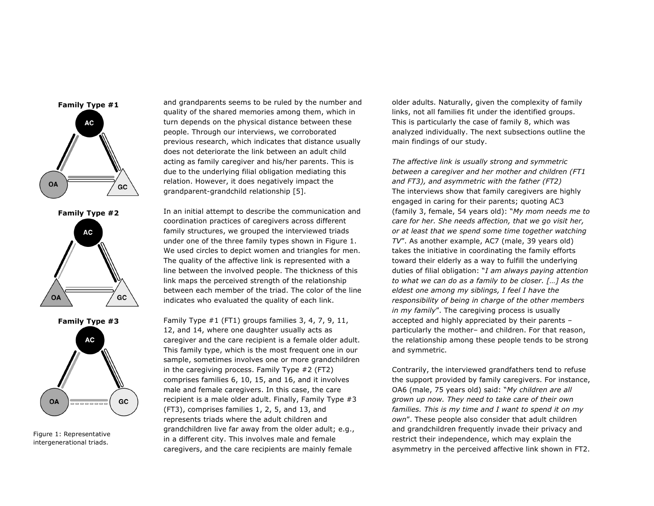





Figure 1: Representative intergenerational triads.

and grandparents seems to be ruled by the number and quality of the shared memories among them, which in turn depends on the physical distance between these people. Through our interviews, we corroborated previous research, which indicates that distance usually does not deteriorate the link between an adult child acting as family caregiver and his/her parents. This is due to the underlying filial obligation mediating this relation. However, it does negatively impact the grandparent-grandchild relationship [5].

In an initial attempt to describe the communication and coordination practices of caregivers across different family structures, we grouped the interviewed triads under one of the three family types shown in Figure 1. We used circles to depict women and triangles for men. The quality of the affective link is represented with a line between the involved people. The thickness of this link maps the perceived strength of the relationship between each member of the triad. The color of the line indicates who evaluated the quality of each link.

Family Type #1 (FT1) groups families 3, 4, 7, 9, 11, 12, and 14, where one daughter usually acts as caregiver and the care recipient is a female older adult. This family type, which is the most frequent one in our sample, sometimes involves one or more grandchildren in the caregiving process. Family Type #2 (FT2) comprises families 6, 10, 15, and 16, and it involves male and female caregivers. In this case, the care recipient is a male older adult. Finally, Family Type #3 (FT3), comprises families 1, 2, 5, and 13, and represents triads where the adult children and grandchildren live far away from the older adult; e.g., in a different city. This involves male and female caregivers, and the care recipients are mainly female

older adults. Naturally, given the complexity of family links, not all families fit under the identified groups. This is particularly the case of family 8, which was analyzed individually. The next subsections outline the main findings of our study.

*The affective link is usually strong and symmetric between a caregiver and her mother and children (FT1 and FT3), and asymmetric with the father (FT2)* The interviews show that family caregivers are highly engaged in caring for their parents; quoting AC3 (family 3, female, 54 years old): "*My mom needs me to care for her. She needs affection, that we go visit her, or at least that we spend some time together watching TV*". As another example, AC7 (male, 39 years old) takes the initiative in coordinating the family efforts toward their elderly as a way to fulfill the underlying duties of filial obligation: "*I am always paying attention to what we can do as a family to be closer. […] As the eldest one among my siblings, I feel I have the responsibility of being in charge of the other members in my family*". The caregiving process is usually accepted and highly appreciated by their parents – particularly the mother– and children. For that reason, the relationship among these people tends to be strong and symmetric.

Contrarily, the interviewed grandfathers tend to refuse the support provided by family caregivers. For instance, OA6 (male, 75 years old) said: "*My children are all grown up now. They need to take care of their own families. This is my time and I want to spend it on my own*". These people also consider that adult children and grandchildren frequently invade their privacy and restrict their independence, which may explain the asymmetry in the perceived affective link shown in FT2.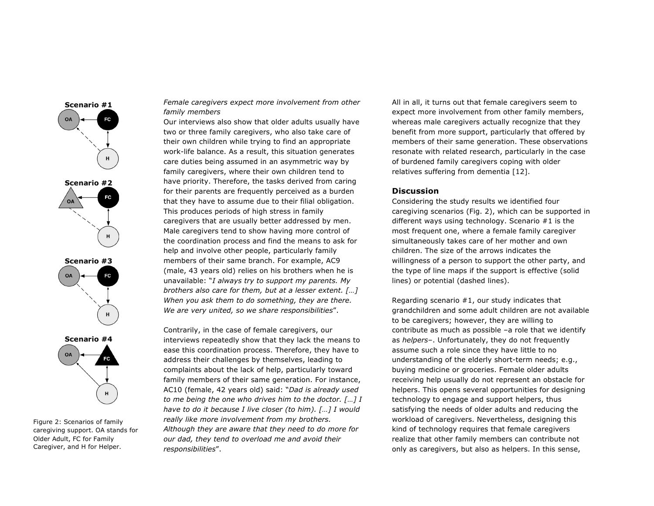

*Female caregivers expect more involvement from other family members*

Our interviews also show that older adults usually have two or three family caregivers, who also take care of their own children while trying to find an appropriate work-life balance. As a result, this situation generates care duties being assumed in an asymmetric way by family caregivers, where their own children tend to have priority. Therefore, the tasks derived from caring for their parents are frequently perceived as a burden that they have to assume due to their filial obligation. This produces periods of high stress in family caregivers that are usually better addressed by men. Male caregivers tend to show having more control of the coordination process and find the means to ask for help and involve other people, particularly family members of their same branch. For example, AC9 (male, 43 years old) relies on his brothers when he is unavailable: "*I always try to support my parents. My brothers also care for them, but at a lesser extent. […] When you ask them to do something, they are there. We are very united, so we share responsibilities*".

Contrarily, in the case of female caregivers, our interviews repeatedly show that they lack the means to ease this coordination process. Therefore, they have to address their challenges by themselves, leading to complaints about the lack of help, particularly toward family members of their same generation. For instance, AC10 (female, 42 years old) said: "*Dad is already used to me being the one who drives him to the doctor. […] I have to do it because I live closer (to him). […] I would really like more involvement from my brothers. Although they are aware that they need to do more for our dad, they tend to overload me and avoid their responsibilities*".

All in all, it turns out that female caregivers seem to expect more involvement from other family members, whereas male caregivers actually recognize that they benefit from more support, particularly that offered by members of their same generation. These observations resonate with related research, particularly in the case of burdened family caregivers coping with older relatives suffering from dementia [12].

## **Discussion**

Considering the study results we identified four caregiving scenarios (Fig. 2), which can be supported in different ways using technology. Scenario #1 is the most frequent one, where a female family caregiver simultaneously takes care of her mother and own children. The size of the arrows indicates the willingness of a person to support the other party, and the type of line maps if the support is effective (solid lines) or potential (dashed lines).

Regarding scenario #1, our study indicates that grandchildren and some adult children are not available to be caregivers; however, they are willing to contribute as much as possible –a role that we identify as *helpers*–. Unfortunately, they do not frequently assume such a role since they have little to no understanding of the elderly short-term needs; e.g., buying medicine or groceries. Female older adults receiving help usually do not represent an obstacle for helpers. This opens several opportunities for designing technology to engage and support helpers, thus satisfying the needs of older adults and reducing the workload of caregivers. Nevertheless, designing this kind of technology requires that female caregivers realize that other family members can contribute not only as caregivers, but also as helpers. In this sense,

Figure 2: Scenarios of family caregiving support. OA stands for Older Adult, FC for Family Caregiver, and H for Helper.

H.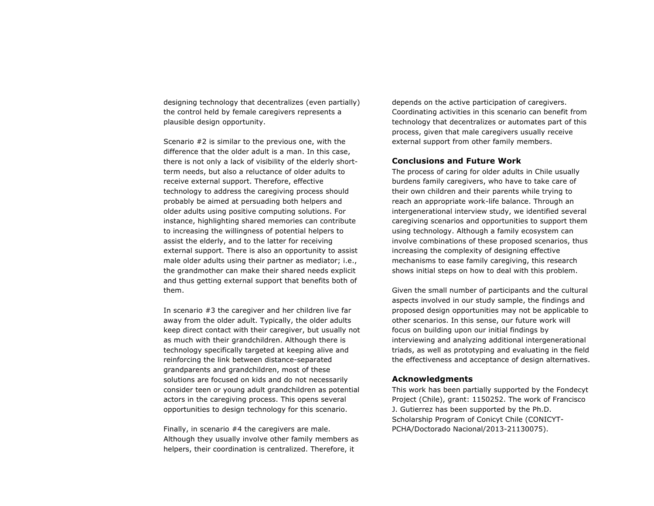designing technology that decentralizes (even partially) the control held by female caregivers represents a plausible design opportunity.

Scenario #2 is similar to the previous one, with the difference that the older adult is a man. In this case, there is not only a lack of visibility of the elderly shortterm needs, but also a reluctance of older adults to receive external support. Therefore, effective technology to address the caregiving process should probably be aimed at persuading both helpers and older adults using positive computing solutions. For instance, highlighting shared memories can contribute to increasing the willingness of potential helpers to assist the elderly, and to the latter for receiving external support. There is also an opportunity to assist male older adults using their partner as mediator; i.e., the grandmother can make their shared needs explicit and thus getting external support that benefits both of them.

In scenario #3 the caregiver and her children live far away from the older adult. Typically, the older adults keep direct contact with their caregiver, but usually not as much with their grandchildren. Although there is technology specifically targeted at keeping alive and reinforcing the link between distance-separated grandparents and grandchildren, most of these solutions are focused on kids and do not necessarily consider teen or young adult grandchildren as potential actors in the caregiving process. This opens several opportunities to design technology for this scenario.

Finally, in scenario #4 the caregivers are male. Although they usually involve other family members as helpers, their coordination is centralized. Therefore, it

depends on the active participation of caregivers. Coordinating activities in this scenario can benefit from technology that decentralizes or automates part of this process, given that male caregivers usually receive external support from other family members.

## **Conclusions and Future Work**

The process of caring for older adults in Chile usually burdens family caregivers, who have to take care of their own children and their parents while trying to reach an appropriate work-life balance. Through an intergenerational interview study, we identified several caregiving scenarios and opportunities to support them using technology. Although a family ecosystem can involve combinations of these proposed scenarios, thus increasing the complexity of designing effective mechanisms to ease family caregiving, this research shows initial steps on how to deal with this problem.

Given the small number of participants and the cultural aspects involved in our study sample, the findings and proposed design opportunities may not be applicable to other scenarios. In this sense, our future work will focus on building upon our initial findings by interviewing and analyzing additional intergenerational triads, as well as prototyping and evaluating in the field the effectiveness and acceptance of design alternatives.

# **Acknowledgments**

This work has been partially supported by the Fondecyt Project (Chile), grant: 1150252. The work of Francisco J. Gutierrez has been supported by the Ph.D. Scholarship Program of Conicyt Chile (CONICYT-PCHA/Doctorado Nacional/2013-21130075).